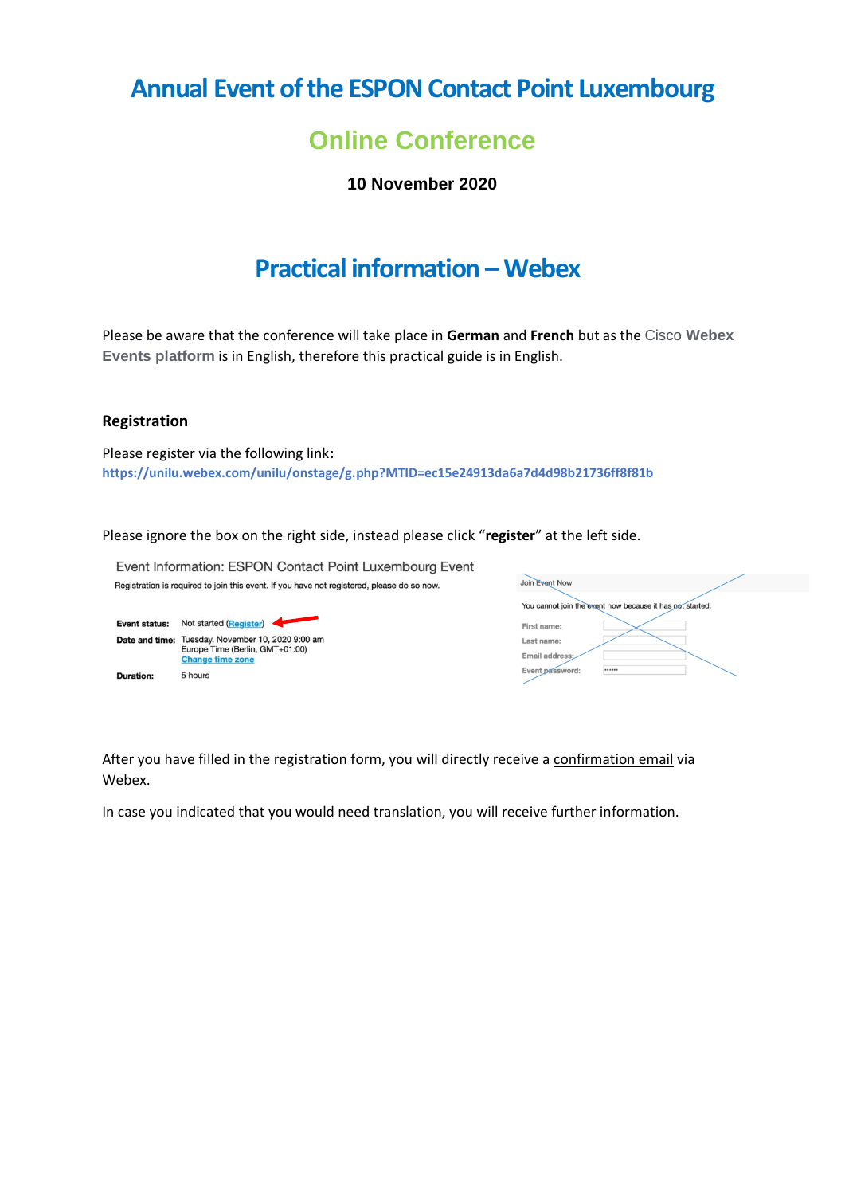# **Annual Event of the ESPON Contact Point Luxembourg**

## **Online Conference**

**10 November 2020**

## **Practical information –Webex**

Please be aware that the conference will take place in **German** and **French** but as the Cisco **Webex Events platform** is in English, therefore this practical guide is in English.

#### **Registration**

Please register via the following link**: <https://unilu.webex.com/unilu/onstage/g.php?MTID=ec15e24913da6a7d4d98b21736ff8f81b>**

Please ignore the box on the right side, instead please click "**register**" at the left side.

Event Information: ESPON Contact Point Luxembourg Event Join Event Now Registration is required to join this event. If you have not registered, please do so now. You cannot join the event now because it has not started. Event status: Not started (Register) First name: Date and time: Tuesday, November 10, 2020 9:00 am Last name Europe Time (Berlin, GMT+01:00) Email address **Change time zone** Event password: 5 hours **Duration:** 

After you have filled in the registration form, you will directly receive a confirmation email via Webex.

In case you indicated that you would need translation, you will receive further information.